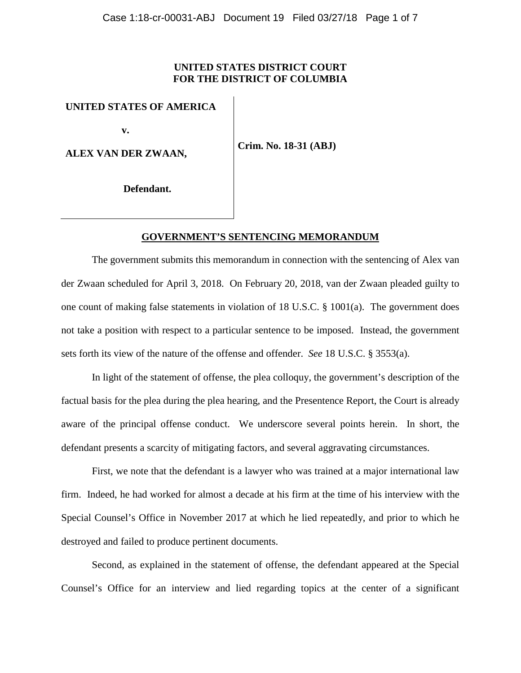# **UNITED STATES DISTRICT COURT FOR THE DISTRICT OF COLUMBIA**

### **UNITED STATES OF AMERICA**

 **v.** 

**ALEX VAN DER ZWAAN,**

**Crim. No. 18-31 (ABJ)**

**Defendant.**

#### **GOVERNMENT'S SENTENCING MEMORANDUM**

The government submits this memorandum in connection with the sentencing of Alex van der Zwaan scheduled for April 3, 2018. On February 20, 2018, van der Zwaan pleaded guilty to one count of making false statements in violation of 18 U.S.C. § 1001(a). The government does not take a position with respect to a particular sentence to be imposed. Instead, the government sets forth its view of the nature of the offense and offender. *See* 18 U.S.C. § 3553(a).

In light of the statement of offense, the plea colloquy, the government's description of the factual basis for the plea during the plea hearing, and the Presentence Report, the Court is already aware of the principal offense conduct. We underscore several points herein. In short, the defendant presents a scarcity of mitigating factors, and several aggravating circumstances.

First, we note that the defendant is a lawyer who was trained at a major international law firm. Indeed, he had worked for almost a decade at his firm at the time of his interview with the Special Counsel's Office in November 2017 at which he lied repeatedly, and prior to which he destroyed and failed to produce pertinent documents.

Second, as explained in the statement of offense, the defendant appeared at the Special Counsel's Office for an interview and lied regarding topics at the center of a significant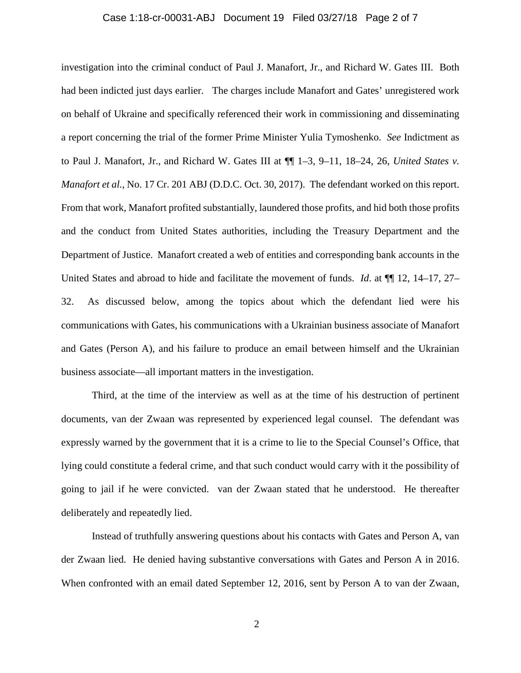## Case 1:18-cr-00031-ABJ Document 19 Filed 03/27/18 Page 2 of 7

investigation into the criminal conduct of Paul J. Manafort, Jr., and Richard W. Gates III. Both had been indicted just days earlier. The charges include Manafort and Gates' unregistered work on behalf of Ukraine and specifically referenced their work in commissioning and disseminating a report concerning the trial of the former Prime Minister Yulia Tymoshenko. *See* Indictment as to Paul J. Manafort, Jr., and Richard W. Gates III at ¶¶ 1–3, 9–11, 18–24, 26, *United States v. Manafort et al.*, No. 17 Cr. 201 ABJ (D.D.C. Oct. 30, 2017). The defendant worked on this report. From that work, Manafort profited substantially, laundered those profits, and hid both those profits and the conduct from United States authorities, including the Treasury Department and the Department of Justice. Manafort created a web of entities and corresponding bank accounts in the United States and abroad to hide and facilitate the movement of funds. *Id*. at ¶¶ 12, 14–17, 27– 32. As discussed below, among the topics about which the defendant lied were his communications with Gates, his communications with a Ukrainian business associate of Manafort and Gates (Person A), and his failure to produce an email between himself and the Ukrainian business associate—all important matters in the investigation.

Third, at the time of the interview as well as at the time of his destruction of pertinent documents, van der Zwaan was represented by experienced legal counsel. The defendant was expressly warned by the government that it is a crime to lie to the Special Counsel's Office, that lying could constitute a federal crime, and that such conduct would carry with it the possibility of going to jail if he were convicted. van der Zwaan stated that he understood. He thereafter deliberately and repeatedly lied.

Instead of truthfully answering questions about his contacts with Gates and Person A, van der Zwaan lied. He denied having substantive conversations with Gates and Person A in 2016. When confronted with an email dated September 12, 2016, sent by Person A to van der Zwaan,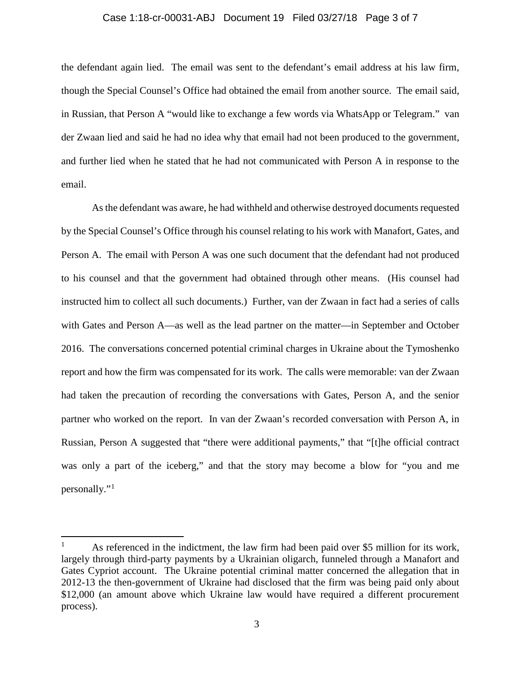### Case 1:18-cr-00031-ABJ Document 19 Filed 03/27/18 Page 3 of 7

the defendant again lied. The email was sent to the defendant's email address at his law firm, though the Special Counsel's Office had obtained the email from another source. The email said, in Russian, that Person A "would like to exchange a few words via WhatsApp or Telegram." van der Zwaan lied and said he had no idea why that email had not been produced to the government, and further lied when he stated that he had not communicated with Person A in response to the email.

As the defendant was aware, he had withheld and otherwise destroyed documents requested by the Special Counsel's Office through his counsel relating to his work with Manafort, Gates, and Person A. The email with Person A was one such document that the defendant had not produced to his counsel and that the government had obtained through other means. (His counsel had instructed him to collect all such documents.) Further, van der Zwaan in fact had a series of calls with Gates and Person A—as well as the lead partner on the matter—in September and October 2016. The conversations concerned potential criminal charges in Ukraine about the Tymoshenko report and how the firm was compensated for its work. The calls were memorable: van der Zwaan had taken the precaution of recording the conversations with Gates, Person A, and the senior partner who worked on the report. In van der Zwaan's recorded conversation with Person A, in Russian, Person A suggested that "there were additional payments," that "[t]he official contract was only a part of the iceberg," and that the story may become a blow for "you and me personally."[1](#page-2-0)

<span id="page-2-0"></span><sup>&</sup>lt;sup>1</sup> As referenced in the indictment, the law firm had been paid over \$5 million for its work, largely through third-party payments by a Ukrainian oligarch, funneled through a Manafort and Gates Cypriot account. The Ukraine potential criminal matter concerned the allegation that in 2012-13 the then-government of Ukraine had disclosed that the firm was being paid only about \$12,000 (an amount above which Ukraine law would have required a different procurement process).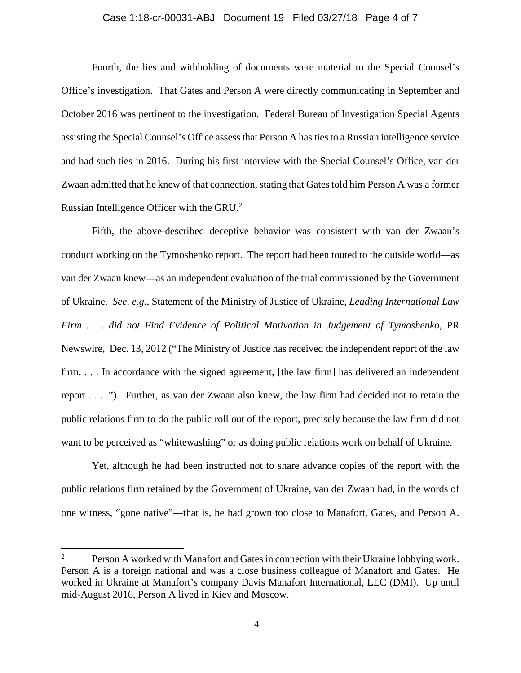### Case 1:18-cr-00031-ABJ Document 19 Filed 03/27/18 Page 4 of 7

Fourth, the lies and withholding of documents were material to the Special Counsel's Office's investigation. That Gates and Person A were directly communicating in September and October 2016 was pertinent to the investigation. Federal Bureau of Investigation Special Agents assisting the Special Counsel's Office assess that Person A has ties to a Russian intelligence service and had such ties in 2016. During his first interview with the Special Counsel's Office, van der Zwaan admitted that he knew of that connection, stating that Gates told him Person A was a former Russian Intelligence Officer with the GRU.[2](#page-3-0)

Fifth, the above-described deceptive behavior was consistent with van der Zwaan's conduct working on the Tymoshenko report. The report had been touted to the outside world—as van der Zwaan knew—as an independent evaluation of the trial commissioned by the Government of Ukraine. *See, e.g*., Statement of the Ministry of Justice of Ukraine, *Leading International Law Firm . . . did not Find Evidence of Political Motivation in Judgement of Tymoshenko*, PR Newswire, Dec. 13, 2012 ("The Ministry of Justice has received the independent report of the law firm. . . . In accordance with the signed agreement, [the law firm] has delivered an independent report . . . ."). Further, as van der Zwaan also knew, the law firm had decided not to retain the public relations firm to do the public roll out of the report, precisely because the law firm did not want to be perceived as "whitewashing" or as doing public relations work on behalf of Ukraine.

Yet, although he had been instructed not to share advance copies of the report with the public relations firm retained by the Government of Ukraine, van der Zwaan had, in the words of one witness, "gone native"—that is, he had grown too close to Manafort, Gates, and Person A.

<span id="page-3-0"></span><sup>&</sup>lt;sup>2</sup> Person A worked with Manafort and Gates in connection with their Ukraine lobbying work. Person A is a foreign national and was a close business colleague of Manafort and Gates. He worked in Ukraine at Manafort's company Davis Manafort International, LLC (DMI). Up until mid-August 2016, Person A lived in Kiev and Moscow.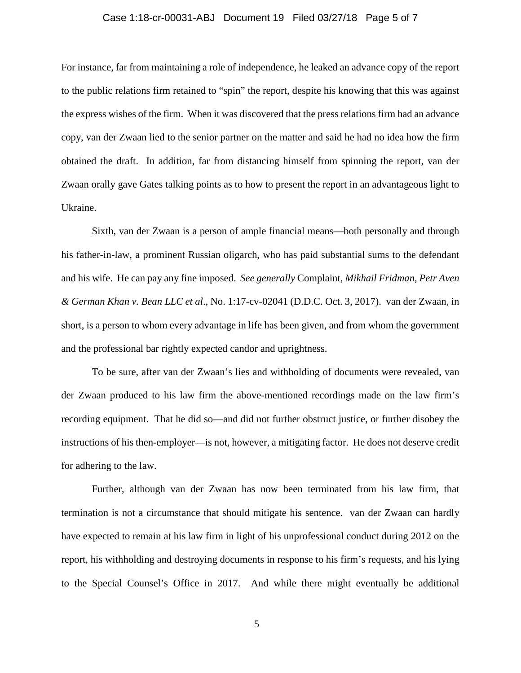## Case 1:18-cr-00031-ABJ Document 19 Filed 03/27/18 Page 5 of 7

For instance, far from maintaining a role of independence, he leaked an advance copy of the report to the public relations firm retained to "spin" the report, despite his knowing that this was against the express wishes of the firm. When it was discovered that the press relations firm had an advance copy, van der Zwaan lied to the senior partner on the matter and said he had no idea how the firm obtained the draft. In addition, far from distancing himself from spinning the report, van der Zwaan orally gave Gates talking points as to how to present the report in an advantageous light to Ukraine.

Sixth, van der Zwaan is a person of ample financial means—both personally and through his father-in-law, a prominent Russian oligarch, who has paid substantial sums to the defendant and his wife. He can pay any fine imposed. *See generally* Complaint, *Mikhail Fridman, Petr Aven & German Khan v. Bean LLC et al*., No. 1:17-cv-02041 (D.D.C. Oct. 3, 2017). van der Zwaan, in short, is a person to whom every advantage in life has been given, and from whom the government and the professional bar rightly expected candor and uprightness.

To be sure, after van der Zwaan's lies and withholding of documents were revealed, van der Zwaan produced to his law firm the above-mentioned recordings made on the law firm's recording equipment. That he did so—and did not further obstruct justice, or further disobey the instructions of his then-employer—is not, however, a mitigating factor. He does not deserve credit for adhering to the law.

Further, although van der Zwaan has now been terminated from his law firm, that termination is not a circumstance that should mitigate his sentence. van der Zwaan can hardly have expected to remain at his law firm in light of his unprofessional conduct during 2012 on the report, his withholding and destroying documents in response to his firm's requests, and his lying to the Special Counsel's Office in 2017. And while there might eventually be additional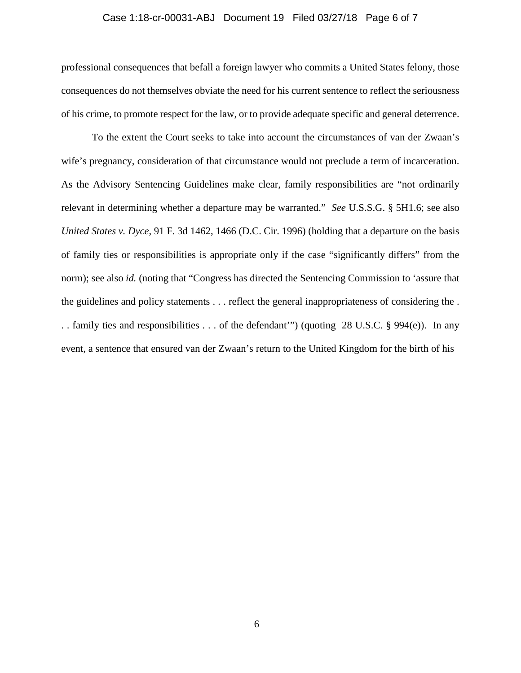## Case 1:18-cr-00031-ABJ Document 19 Filed 03/27/18 Page 6 of 7

professional consequences that befall a foreign lawyer who commits a United States felony, those consequences do not themselves obviate the need for his current sentence to reflect the seriousness of his crime, to promote respect for the law, or to provide adequate specific and general deterrence.

To the extent the Court seeks to take into account the circumstances of van der Zwaan's wife's pregnancy, consideration of that circumstance would not preclude a term of incarceration. As the Advisory Sentencing Guidelines make clear, family responsibilities are "not ordinarily relevant in determining whether a departure may be warranted." *See* U.S.S.G. § 5H1.6; see also *United States v. Dyce*, 91 F. 3d 1462, 1466 (D.C. Cir. 1996) (holding that a departure on the basis of family ties or responsibilities is appropriate only if the case "significantly differs" from the norm); see also *id.* (noting that "Congress has directed the Sentencing Commission to 'assure that the guidelines and policy statements . . . reflect the general inappropriateness of considering the . . . family ties and responsibilities . . . of the defendant'") (quoting 28 U.S.C. § 994(e)). In any event, a sentence that ensured van der Zwaan's return to the United Kingdom for the birth of his